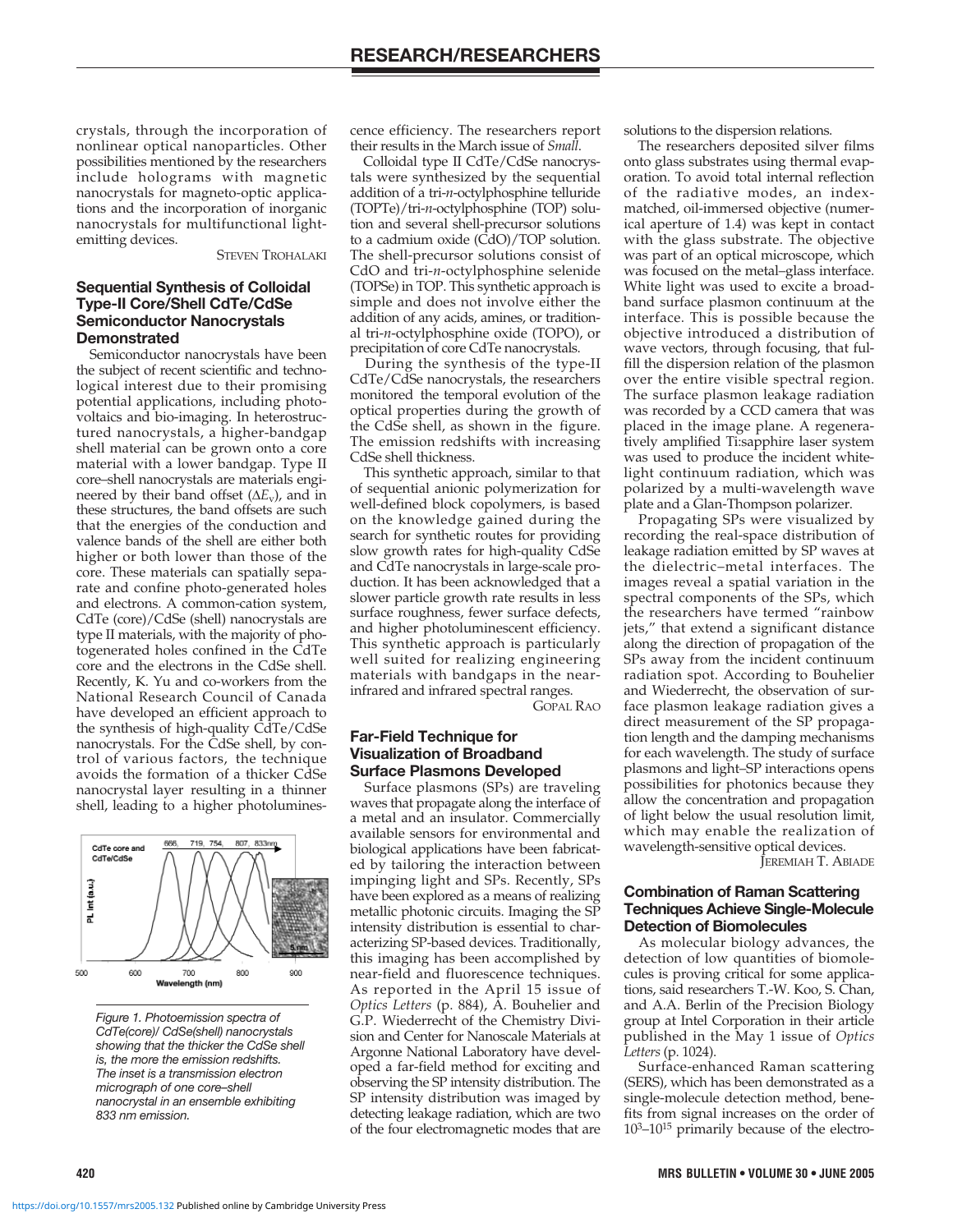crystals, through the incorporation of nonlinear optical nanoparticles. Other possibilities mentioned by the researchers include holograms with magnetic nanocrystals for magneto-optic applications and the incorporation of inorganic nanocrystals for multifunctional lightemitting devices.

STEVEN TROHALAKI

#### **Sequential Synthesis of Colloidal Type-II Core/Shell CdTe/CdSe Semiconductor Nanocrystals Demonstrated**

Semiconductor nanocrystals have been the subject of recent scientific and technological interest due to their promising potential applications, including photovoltaics and bio-imaging. In heterostructured nanocrystals, a higher-bandgap shell material can be grown onto a core material with a lower bandgap. Type II core–shell nanocrystals are materials engineered by their band offset (Δ*E<sub>v</sub>*), and in these structures, the band offsets are such that the energies of the conduction and valence bands of the shell are either both higher or both lower than those of the core. These materials can spatially separate and confine photo-generated holes and electrons. A common-cation system, CdTe (core)/CdSe (shell) nanocrystals are type II materials, with the majority of photogenerated holes confined in the CdTe core and the electrons in the CdSe shell. Recently, K. Yu and co-workers from the National Research Council of Canada have developed an efficient approach to the synthesis of high-quality CdTe/CdSe nanocrystals. For the CdSe shell, by control of various factors, the technique avoids the formation of a thicker CdSe nanocrystal layer resulting in a thinner shell, leading to a higher photolumines-



Figure 1. Photoemission spectra of CdTe(core)/ CdSe(shell) nanocrystals showing that the thicker the CdSe shell is, the more the emission redshifts. The inset is a transmission electron micrograph of one core–shell nanocrystal in an ensemble exhibiting 833 nm emission.

cence efficiency. The researchers report their results in the March issue of *Small*.

Colloidal type II CdTe/CdSe nanocrystals were synthesized by the sequential addition of a tri-*n*-octylphosphine telluride (TOPTe)/tri-*n*-octylphosphine (TOP) solution and several shell-precursor solutions to a cadmium oxide (CdO)/TOP solution. The shell-precursor solutions consist of CdO and tri-*n*-octylphosphine selenide (TOPSe) in TOP. This synthetic approach is simple and does not involve either the addition of any acids, amines, or traditional tri-*n*-octylphosphine oxide (TOPO), or precipitation of core CdTe nanocrystals.

During the synthesis of the type-II CdTe/CdSe nanocrystals, the researchers monitored the temporal evolution of the optical properties during the growth of the CdSe shell, as shown in the figure. The emission redshifts with increasing CdSe shell thickness.

This synthetic approach, similar to that of sequential anionic polymerization for well-defined block copolymers, is based on the knowledge gained during the search for synthetic routes for providing slow growth rates for high-quality CdSe and CdTe nanocrystals in large-scale production. It has been acknowledged that a slower particle growth rate results in less surface roughness, fewer surface defects, and higher photoluminescent efficiency. This synthetic approach is particularly well suited for realizing engineering materials with bandgaps in the nearinfrared and infrared spectral ranges.

GOPAL RAO

# **Far-Field Technique for Visualization of Broadband Surface Plasmons Developed**

Surface plasmons (SPs) are traveling waves that propagate along the interface of a metal and an insulator. Commercially available sensors for environmental and biological applications have been fabricated by tailoring the interaction between impinging light and SPs. Recently, SPs have been explored as a means of realizing metallic photonic circuits. Imaging the SP intensity distribution is essential to characterizing SP-based devices. Traditionally, this imaging has been accomplished by near-field and fluorescence techniques. As reported in the April 15 issue of *Optics Letters* (p. 884), A. Bouhelier and G.P. Wiederrecht of the Chemistry Division and Center for Nanoscale Materials at Argonne National Laboratory have developed a far-field method for exciting and observing the SP intensity distribution. The SP intensity distribution was imaged by detecting leakage radiation, which are two of the four electromagnetic modes that are solutions to the dispersion relations.

The researchers deposited silver films onto glass substrates using thermal evaporation. To avoid total internal reflection of the radiative modes, an indexmatched, oil-immersed objective (numerical aperture of 1.4) was kept in contact with the glass substrate. The objective was part of an optical microscope, which was focused on the metal–glass interface. White light was used to excite a broadband surface plasmon continuum at the interface. This is possible because the objective introduced a distribution of wave vectors, through focusing, that fulfill the dispersion relation of the plasmon over the entire visible spectral region. The surface plasmon leakage radiation was recorded by a CCD camera that was placed in the image plane. A regeneratively amplified Ti:sapphire laser system was used to produce the incident whitelight continuum radiation, which was polarized by a multi-wavelength wave plate and a Glan-Thompson polarizer.

Propagating SPs were visualized by recording the real-space distribution of leakage radiation emitted by SP waves at the dielectric–metal interfaces. The images reveal a spatial variation in the spectral components of the SPs, which the researchers have termed "rainbow jets," that extend a significant distance along the direction of propagation of the SPs away from the incident continuum radiation spot. According to Bouhelier and Wiederrecht, the observation of surface plasmon leakage radiation gives a direct measurement of the SP propagation length and the damping mechanisms for each wavelength. The study of surface plasmons and light–SP interactions opens possibilities for photonics because they allow the concentration and propagation of light below the usual resolution limit, which may enable the realization of wavelength-sensitive optical devices.

JEREMIAH T. ABIADE

## **Combination of Raman Scattering Techniques Achieve Single-Molecule Detection of Biomolecules**

As molecular biology advances, the detection of low quantities of biomolecules is proving critical for some applications, said researchers T.-W. Koo, S. Chan, and A.A. Berlin of the Precision Biology group at Intel Corporation in their article published in the May 1 issue of *Optics Letters* (p. 1024).

Surface-enhanced Raman scattering (SERS), which has been demonstrated as a single-molecule detection method, benefits from signal increases on the order of  $10^{3}-10^{15}$  primarily because of the electro